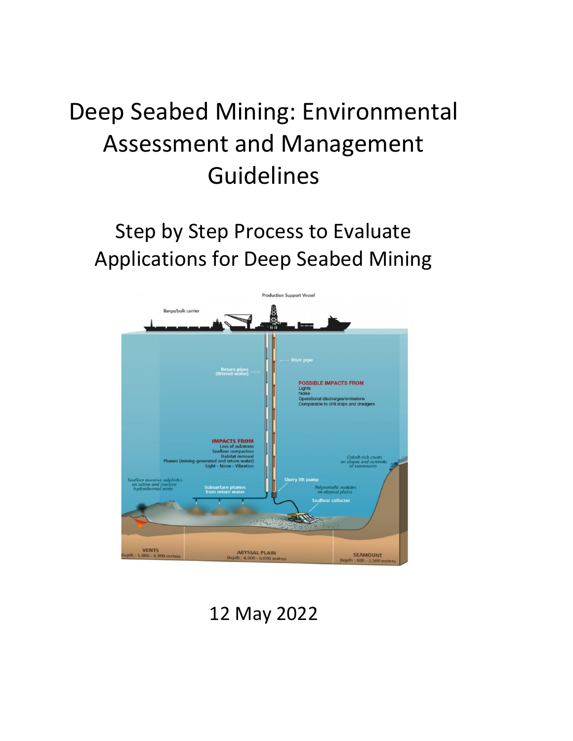# Deep Seabed Mining: Environmental Assessment and Management Guidelines

# Step by Step Process to Evaluate Applications for Deep Seabed Mining



12 May 2022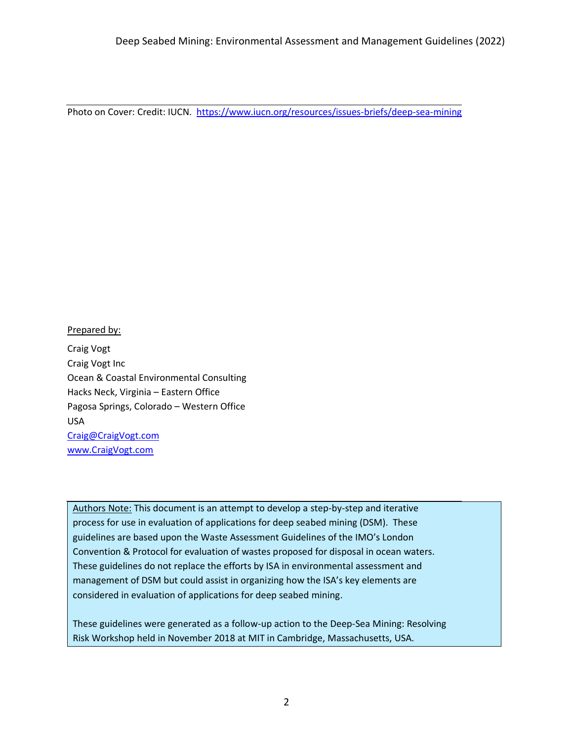Photo on Cover: Credit: IUCN. <https://www.iucn.org/resources/issues-briefs/deep-sea-mining>

### Prepared by:

Craig Vogt Craig Vogt Inc Ocean & Coastal Environmental Consulting Hacks Neck, Virginia – Eastern Office Pagosa Springs, Colorado – Western Office USA [Craig@CraigVogt.com](mailto:Craig@CraigVogt.com) [www.CraigVogt.com](http://www.craigvogt.com/)

Authors Note: This document is an attempt to develop a step-by-step and iterative process for use in evaluation of applications for deep seabed mining (DSM). These guidelines are based upon the Waste Assessment Guidelines of the IMO's London Convention & Protocol for evaluation of wastes proposed for disposal in ocean waters. These guidelines do not replace the efforts by ISA in environmental assessment and management of DSM but could assist in organizing how the ISA's key elements are considered in evaluation of applications for deep seabed mining.

These guidelines were generated as a follow-up action to the Deep-Sea Mining: Resolving Risk Workshop held in November 2018 at MIT in Cambridge, Massachusetts, USA.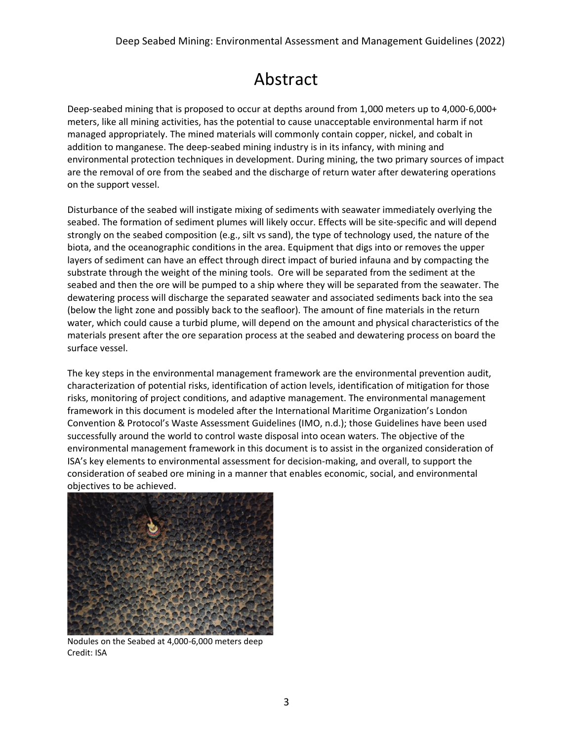## Abstract

Deep-seabed mining that is proposed to occur at depths around from 1,000 meters up to 4,000-6,000+ meters, like all mining activities, has the potential to cause unacceptable environmental harm if not managed appropriately. The mined materials will commonly contain copper, nickel, and cobalt in addition to manganese. The deep-seabed mining industry is in its infancy, with mining and environmental protection techniques in development. During mining, the two primary sources of impact are the removal of ore from the seabed and the discharge of return water after dewatering operations on the support vessel.

Disturbance of the seabed will instigate mixing of sediments with seawater immediately overlying the seabed. The formation of sediment plumes will likely occur. Effects will be site-specific and will depend strongly on the seabed composition (e.g., silt vs sand), the type of technology used, the nature of the biota, and the oceanographic conditions in the area. Equipment that digs into or removes the upper layers of sediment can have an effect through direct impact of buried infauna and by compacting the substrate through the weight of the mining tools. Ore will be separated from the sediment at the seabed and then the ore will be pumped to a ship where they will be separated from the seawater. The dewatering process will discharge the separated seawater and associated sediments back into the sea (below the light zone and possibly back to the seafloor). The amount of fine materials in the return water, which could cause a turbid plume, will depend on the amount and physical characteristics of the materials present after the ore separation process at the seabed and dewatering process on board the surface vessel.

The key steps in the environmental management framework are the environmental prevention audit, characterization of potential risks, identification of action levels, identification of mitigation for those risks, monitoring of project conditions, and adaptive management. The environmental management framework in this document is modeled after the International Maritime Organization's London Convention & Protocol's Waste Assessment Guidelines (IMO, n.d.); those Guidelines have been used successfully around the world to control waste disposal into ocean waters. The objective of the environmental management framework in this document is to assist in the organized consideration of ISA's key elements to environmental assessment for decision-making, and overall, to support the consideration of seabed ore mining in a manner that enables economic, social, and environmental objectives to be achieved.



Nodules on the Seabed at 4,000-6,000 meters deep Credit: ISA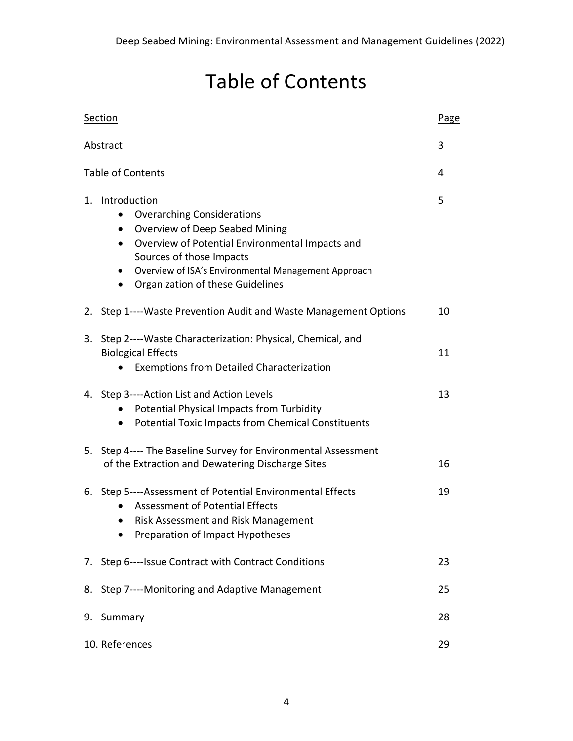# Table of Contents

|                               | Section                                                                                                                                                                                                                                                                                                              | Page |  |  |
|-------------------------------|----------------------------------------------------------------------------------------------------------------------------------------------------------------------------------------------------------------------------------------------------------------------------------------------------------------------|------|--|--|
|                               | 3<br>Abstract                                                                                                                                                                                                                                                                                                        |      |  |  |
| <b>Table of Contents</b><br>4 |                                                                                                                                                                                                                                                                                                                      |      |  |  |
|                               | 1. Introduction<br><b>Overarching Considerations</b><br>Overview of Deep Seabed Mining<br>$\bullet$<br>Overview of Potential Environmental Impacts and<br>$\bullet$<br>Sources of those Impacts<br>Overview of ISA's Environmental Management Approach<br>$\bullet$<br>Organization of these Guidelines<br>$\bullet$ | 5    |  |  |
|                               | 2. Step 1---- Waste Prevention Audit and Waste Management Options                                                                                                                                                                                                                                                    | 10   |  |  |
|                               | 3. Step 2----Waste Characterization: Physical, Chemical, and<br><b>Biological Effects</b><br><b>Exemptions from Detailed Characterization</b>                                                                                                                                                                        | 11   |  |  |
|                               | 4. Step 3----Action List and Action Levels<br>Potential Physical Impacts from Turbidity<br><b>Potential Toxic Impacts from Chemical Constituents</b><br>$\bullet$                                                                                                                                                    | 13   |  |  |
|                               | 5. Step 4---- The Baseline Survey for Environmental Assessment<br>of the Extraction and Dewatering Discharge Sites                                                                                                                                                                                                   | 16   |  |  |
|                               | 6. Step 5----Assessment of Potential Environmental Effects<br><b>Assessment of Potential Effects</b><br>Risk Assessment and Risk Management<br>$\bullet$<br>Preparation of Impact Hypotheses                                                                                                                         | 19   |  |  |
|                               | 7. Step 6----Issue Contract with Contract Conditions                                                                                                                                                                                                                                                                 | 23   |  |  |
|                               | 8. Step 7----Monitoring and Adaptive Management                                                                                                                                                                                                                                                                      | 25   |  |  |
| 9.                            | Summary<br>28                                                                                                                                                                                                                                                                                                        |      |  |  |
|                               | 10. References<br>29                                                                                                                                                                                                                                                                                                 |      |  |  |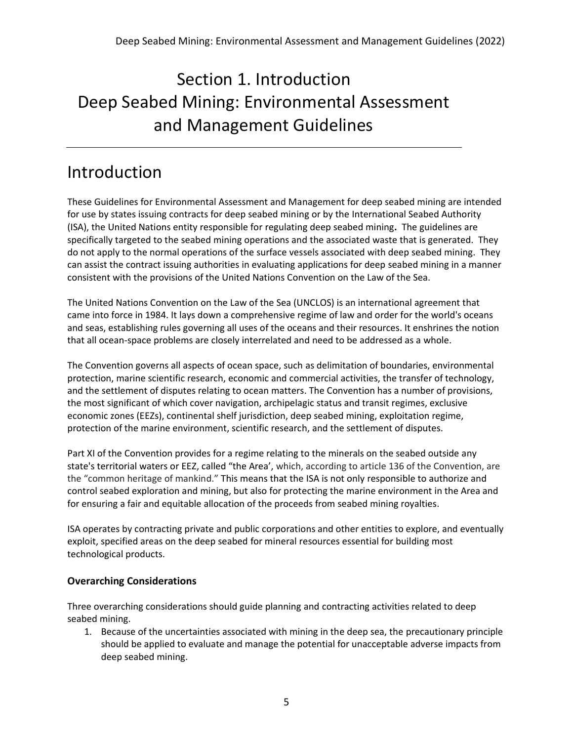# Section 1. Introduction Deep Seabed Mining: Environmental Assessment and Management Guidelines

### Introduction

These Guidelines for Environmental Assessment and Management for deep seabed mining are intended for use by states issuing contracts for deep seabed mining or by the International Seabed Authority (ISA), the United Nations entity responsible for regulating deep seabed mining**.** The guidelines are specifically targeted to the seabed mining operations and the associated waste that is generated. They do not apply to the normal operations of the surface vessels associated with deep seabed mining. They can assist the contract issuing authorities in evaluating applications for deep seabed mining in a manner consistent with the provisions of the United Nations Convention on the Law of the Sea.

The United Nations Convention on the Law of the Sea (UNCLOS) is an international agreement that came into force in 1984. It lays down a comprehensive regime of law and order for the world's oceans and seas, establishing rules governing all uses of the oceans and their resources. It enshrines the notion that all ocean-space problems are closely interrelated and need to be addressed as a whole.

The Convention governs all aspects of ocean space, such as delimitation of boundaries, environmental protection, marine scientific research, economic and commercial activities, the transfer of technology, and the settlement of disputes relating to ocean matters. The Convention has a number of provisions, the most significant of which cover navigation, archipelagic status and transit regimes, exclusive economic zones (EEZs), continental shelf jurisdiction, deep seabed mining, exploitation regime, protection of the marine environment, scientific research, and the settlement of disputes.

Part XI of the Convention provides for a regime relating to the minerals on the seabed outside any state's territorial waters or EEZ, called "the Area', which, according to article 136 of the Convention, are the "common heritage of mankind." This means that the ISA is not only responsible to authorize and control seabed exploration and mining, but also for protecting the marine environment in the Area and for ensuring a fair and equitable allocation of the proceeds from seabed mining royalties.

ISA operates by contracting private and public corporations and other entities to explore, and eventually exploit, specified areas on the deep seabed for mineral resources essential for building most technological products.

### **Overarching Considerations**

Three overarching considerations should guide planning and contracting activities related to deep seabed mining.

1. Because of the uncertainties associated with mining in the deep sea, the precautionary principle should be applied to evaluate and manage the potential for unacceptable adverse impacts from deep seabed mining.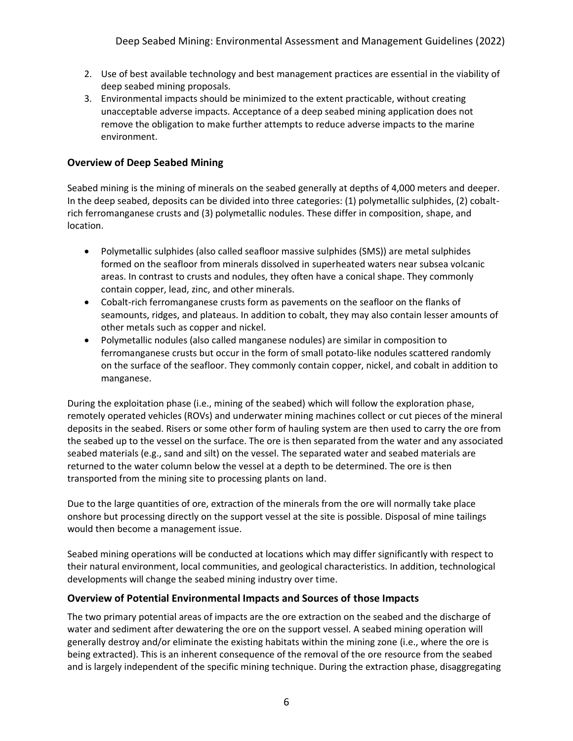- 2. Use of best available technology and best management practices are essential in the viability of deep seabed mining proposals.
- 3. Environmental impacts should be minimized to the extent practicable, without creating unacceptable adverse impacts. Acceptance of a deep seabed mining application does not remove the obligation to make further attempts to reduce adverse impacts to the marine environment.

### **Overview of Deep Seabed Mining**

Seabed mining is the mining of minerals on the seabed generally at depths of 4,000 meters and deeper. In the deep seabed, deposits can be divided into three categories: (1) polymetallic sulphides, (2) cobaltrich ferromanganese crusts and (3) polymetallic nodules. These differ in composition, shape, and location.

- Polymetallic sulphides (also called seafloor massive sulphides (SMS)) are metal sulphides formed on the seafloor from minerals dissolved in superheated waters near subsea volcanic areas. In contrast to crusts and nodules, they often have a conical shape. They commonly contain copper, lead, zinc, and other minerals.
- Cobalt-rich ferromanganese crusts form as pavements on the seafloor on the flanks of seamounts, ridges, and plateaus. In addition to cobalt, they may also contain lesser amounts of other metals such as copper and nickel.
- Polymetallic nodules (also called manganese nodules) are similar in composition to ferromanganese crusts but occur in the form of small potato-like nodules scattered randomly on the surface of the seafloor. They commonly contain copper, nickel, and cobalt in addition to manganese.

During the exploitation phase (i.e., mining of the seabed) which will follow the exploration phase, remotely operated vehicles (ROVs) and underwater mining machines collect or cut pieces of the mineral deposits in the seabed. Risers or some other form of hauling system are then used to carry the ore from the seabed up to the vessel on the surface. The ore is then separated from the water and any associated seabed materials (e.g., sand and silt) on the vessel. The separated water and seabed materials are returned to the water column below the vessel at a depth to be determined. The ore is then transported from the mining site to processing plants on land.

Due to the large quantities of ore, extraction of the minerals from the ore will normally take place onshore but processing directly on the support vessel at the site is possible. Disposal of mine tailings would then become a management issue.

Seabed mining operations will be conducted at locations which may differ significantly with respect to their natural environment, local communities, and geological characteristics. In addition, technological developments will change the seabed mining industry over time.

#### **Overview of Potential Environmental Impacts and Sources of those Impacts**

The two primary potential areas of impacts are the ore extraction on the seabed and the discharge of water and sediment after dewatering the ore on the support vessel. A seabed mining operation will generally destroy and/or eliminate the existing habitats within the mining zone (i.e., where the ore is being extracted). This is an inherent consequence of the removal of the ore resource from the seabed and is largely independent of the specific mining technique. During the extraction phase, disaggregating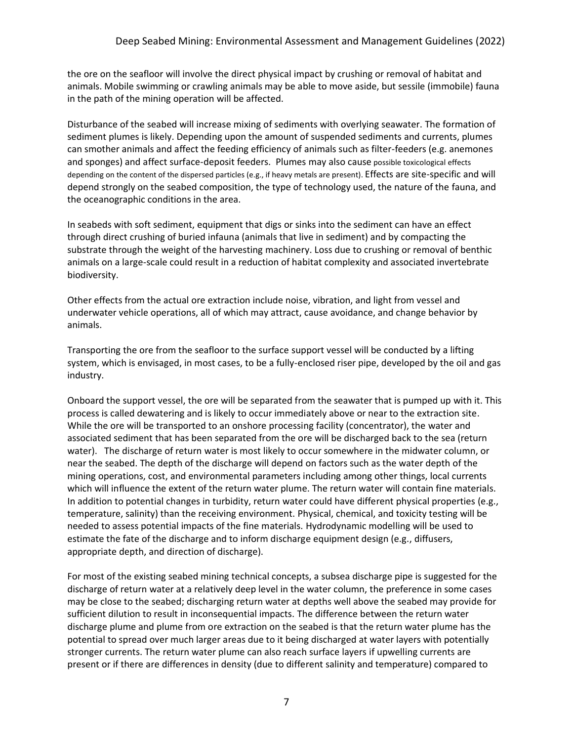the ore on the seafloor will involve the direct physical impact by crushing or removal of habitat and animals. Mobile swimming or crawling animals may be able to move aside, but sessile (immobile) fauna in the path of the mining operation will be affected.

Disturbance of the seabed will increase mixing of sediments with overlying seawater. The formation of sediment plumes is likely. Depending upon the amount of suspended sediments and currents, plumes can smother animals and affect the feeding efficiency of animals such as filter-feeders (e.g. anemones and sponges) and affect surface-deposit feeders. Plumes may also cause possible toxicological effects depending on the content of the dispersed particles (e.g., if heavy metals are present). Effects are site-specific and will depend strongly on the seabed composition, the type of technology used, the nature of the fauna, and the oceanographic conditions in the area.

In seabeds with soft sediment, equipment that digs or sinks into the sediment can have an effect through direct crushing of buried infauna (animals that live in sediment) and by compacting the substrate through the weight of the harvesting machinery. Loss due to crushing or removal of benthic animals on a large-scale could result in a reduction of habitat complexity and associated invertebrate biodiversity.

Other effects from the actual ore extraction include noise, vibration, and light from vessel and underwater vehicle operations, all of which may attract, cause avoidance, and change behavior by animals.

Transporting the ore from the seafloor to the surface support vessel will be conducted by a lifting system, which is envisaged, in most cases, to be a fully-enclosed riser pipe, developed by the oil and gas industry.

Onboard the support vessel, the ore will be separated from the seawater that is pumped up with it. This process is called dewatering and is likely to occur immediately above or near to the extraction site. While the ore will be transported to an onshore processing facility (concentrator), the water and associated sediment that has been separated from the ore will be discharged back to the sea (return water). The discharge of return water is most likely to occur somewhere in the midwater column, or near the seabed. The depth of the discharge will depend on factors such as the water depth of the mining operations, cost, and environmental parameters including among other things, local currents which will influence the extent of the return water plume. The return water will contain fine materials. In addition to potential changes in turbidity, return water could have different physical properties (e.g., temperature, salinity) than the receiving environment. Physical, chemical, and toxicity testing will be needed to assess potential impacts of the fine materials. Hydrodynamic modelling will be used to estimate the fate of the discharge and to inform discharge equipment design (e.g., diffusers, appropriate depth, and direction of discharge).

For most of the existing seabed mining technical concepts, a subsea discharge pipe is suggested for the discharge of return water at a relatively deep level in the water column, the preference in some cases may be close to the seabed; discharging return water at depths well above the seabed may provide for sufficient dilution to result in inconsequential impacts. The difference between the return water discharge plume and plume from ore extraction on the seabed is that the return water plume has the potential to spread over much larger areas due to it being discharged at water layers with potentially stronger currents. The return water plume can also reach surface layers if upwelling currents are present or if there are differences in density (due to different salinity and temperature) compared to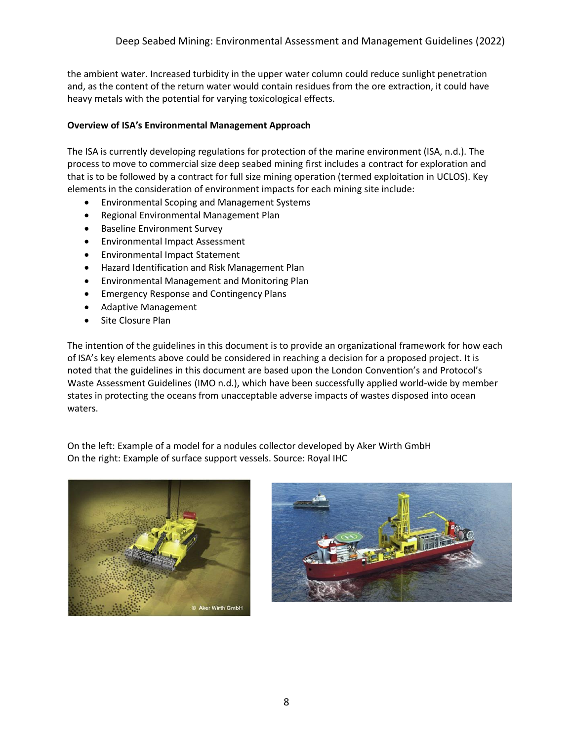the ambient water. Increased turbidity in the upper water column could reduce sunlight penetration and, as the content of the return water would contain residues from the ore extraction, it could have heavy metals with the potential for varying toxicological effects.

#### **Overview of ISA's Environmental Management Approach**

The ISA is currently developing regulations for protection of the marine environment (ISA, n.d.). The process to move to commercial size deep seabed mining first includes a contract for exploration and that is to be followed by a contract for full size mining operation (termed exploitation in UCLOS). Key elements in the consideration of environment impacts for each mining site include:

- Environmental Scoping and Management Systems
- Regional Environmental Management Plan
- Baseline Environment Survey
- Environmental Impact Assessment
- Environmental Impact Statement
- Hazard Identification and Risk Management Plan
- Environmental Management and Monitoring Plan
- Emergency Response and Contingency Plans
- Adaptive Management
- Site Closure Plan

The intention of the guidelines in this document is to provide an organizational framework for how each of ISA's key elements above could be considered in reaching a decision for a proposed project. It is noted that the guidelines in this document are based upon the London Convention's and Protocol's Waste Assessment Guidelines (IMO n.d.), which have been successfully applied world-wide by member states in protecting the oceans from unacceptable adverse impacts of wastes disposed into ocean waters.

On the left: Example of a model for a nodules collector developed by Aker Wirth GmbH On the right: Example of surface support vessels. Source: Royal IHC



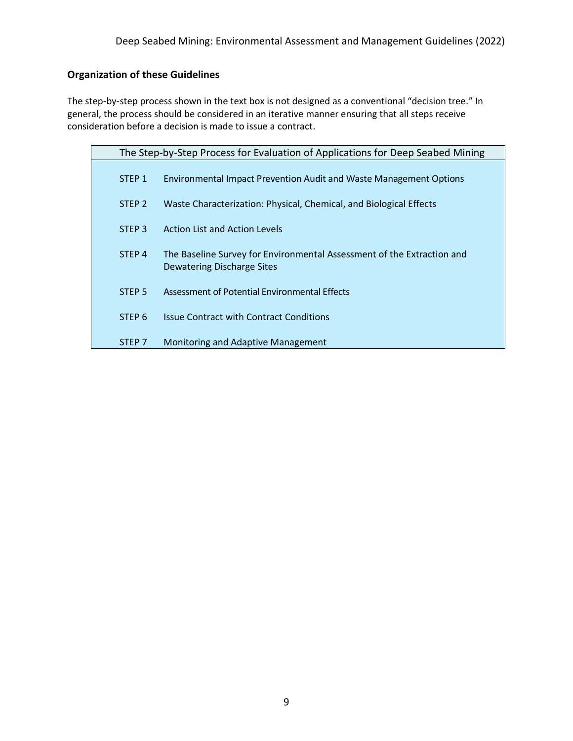### **Organization of these Guidelines**

The step-by-step process shown in the text box is not designed as a conventional "decision tree." In general, the process should be considered in an iterative manner ensuring that all steps receive consideration before a decision is made to issue a contract.

| The Step-by-Step Process for Evaluation of Applications for Deep Seabed Mining |                                                                                                      |  |  |
|--------------------------------------------------------------------------------|------------------------------------------------------------------------------------------------------|--|--|
| STEP <sub>1</sub>                                                              | <b>Environmental Impact Prevention Audit and Waste Management Options</b>                            |  |  |
| STEP <sub>2</sub>                                                              | Waste Characterization: Physical, Chemical, and Biological Effects                                   |  |  |
| STEP <sub>3</sub>                                                              | <b>Action List and Action Levels</b>                                                                 |  |  |
| STEP <sub>4</sub>                                                              | The Baseline Survey for Environmental Assessment of the Extraction and<br>Dewatering Discharge Sites |  |  |
| STEP <sub>5</sub>                                                              | Assessment of Potential Environmental Effects                                                        |  |  |
| STEP <sub>6</sub>                                                              | <b>Issue Contract with Contract Conditions</b>                                                       |  |  |
| STEP <sub>7</sub>                                                              | Monitoring and Adaptive Management                                                                   |  |  |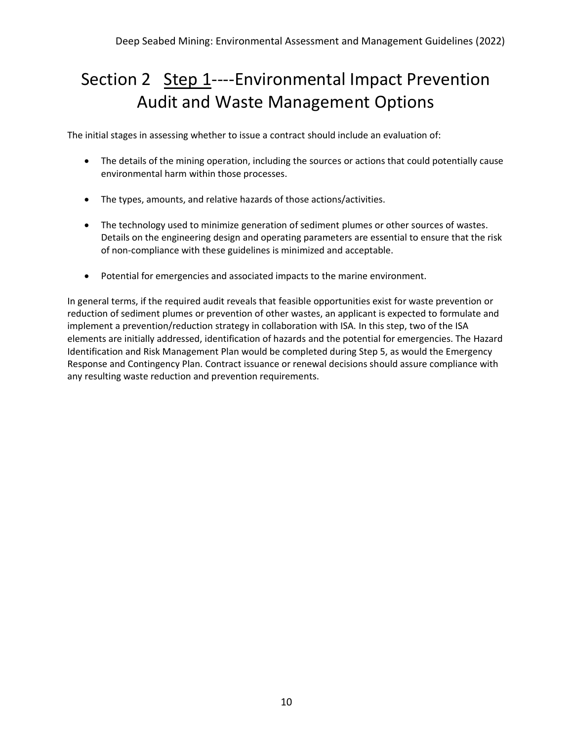### Section 2 Step 1----Environmental Impact Prevention Audit and Waste Management Options

The initial stages in assessing whether to issue a contract should include an evaluation of:

- The details of the mining operation, including the sources or actions that could potentially cause environmental harm within those processes.
- The types, amounts, and relative hazards of those actions/activities.
- The technology used to minimize generation of sediment plumes or other sources of wastes. Details on the engineering design and operating parameters are essential to ensure that the risk of non-compliance with these guidelines is minimized and acceptable.
- Potential for emergencies and associated impacts to the marine environment.

In general terms, if the required audit reveals that feasible opportunities exist for waste prevention or reduction of sediment plumes or prevention of other wastes, an applicant is expected to formulate and implement a prevention/reduction strategy in collaboration with ISA. In this step, two of the ISA elements are initially addressed, identification of hazards and the potential for emergencies. The Hazard Identification and Risk Management Plan would be completed during Step 5, as would the Emergency Response and Contingency Plan. Contract issuance or renewal decisions should assure compliance with any resulting waste reduction and prevention requirements.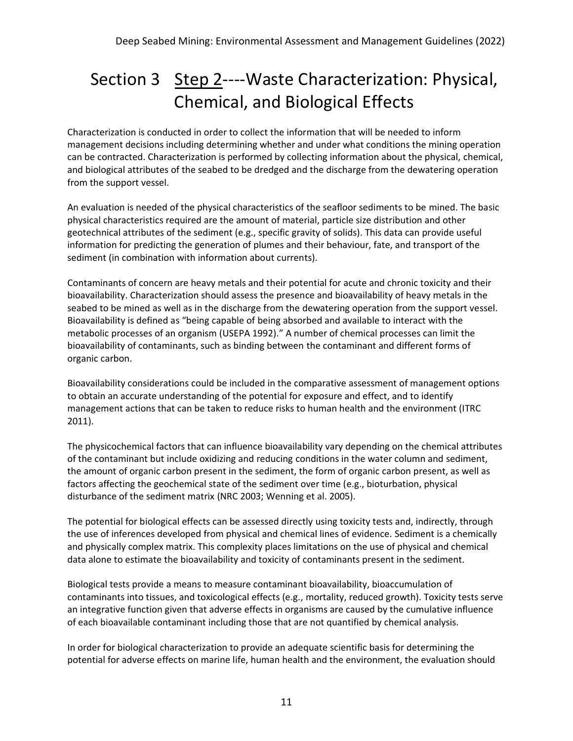## Section 3 Step 2----Waste Characterization: Physical, Chemical, and Biological Effects

Characterization is conducted in order to collect the information that will be needed to inform management decisions including determining whether and under what conditions the mining operation can be contracted. Characterization is performed by collecting information about the physical, chemical, and biological attributes of the seabed to be dredged and the discharge from the dewatering operation from the support vessel.

An evaluation is needed of the physical characteristics of the seafloor sediments to be mined. The basic physical characteristics required are the amount of material, particle size distribution and other geotechnical attributes of the sediment (e.g., specific gravity of solids). This data can provide useful information for predicting the generation of plumes and their behaviour, fate, and transport of the sediment (in combination with information about currents).

Contaminants of concern are heavy metals and their potential for acute and chronic toxicity and their bioavailability. Characterization should assess the presence and bioavailability of heavy metals in the seabed to be mined as well as in the discharge from the dewatering operation from the support vessel. Bioavailability is defined as "being capable of being absorbed and available to interact with the metabolic processes of an organism (USEPA 1992)." A number of chemical processes can limit the bioavailability of contaminants, such as binding between the contaminant and different forms of organic carbon.

Bioavailability considerations could be included in the comparative assessment of management options to obtain an accurate understanding of the potential for exposure and effect, and to identify management actions that can be taken to reduce risks to human health and the environment (ITRC 2011).

The physicochemical factors that can influence bioavailability vary depending on the chemical attributes of the contaminant but include oxidizing and reducing conditions in the water column and sediment, the amount of organic carbon present in the sediment, the form of organic carbon present, as well as factors affecting the geochemical state of the sediment over time (e.g., bioturbation, physical disturbance of the sediment matrix (NRC 2003; Wenning et al. 2005).

The potential for biological effects can be assessed directly using toxicity tests and, indirectly, through the use of inferences developed from physical and chemical lines of evidence. Sediment is a chemically and physically complex matrix. This complexity places limitations on the use of physical and chemical data alone to estimate the bioavailability and toxicity of contaminants present in the sediment.

Biological tests provide a means to measure contaminant bioavailability, bioaccumulation of contaminants into tissues, and toxicological effects (e.g., mortality, reduced growth). Toxicity tests serve an integrative function given that adverse effects in organisms are caused by the cumulative influence of each bioavailable contaminant including those that are not quantified by chemical analysis.

In order for biological characterization to provide an adequate scientific basis for determining the potential for adverse effects on marine life, human health and the environment, the evaluation should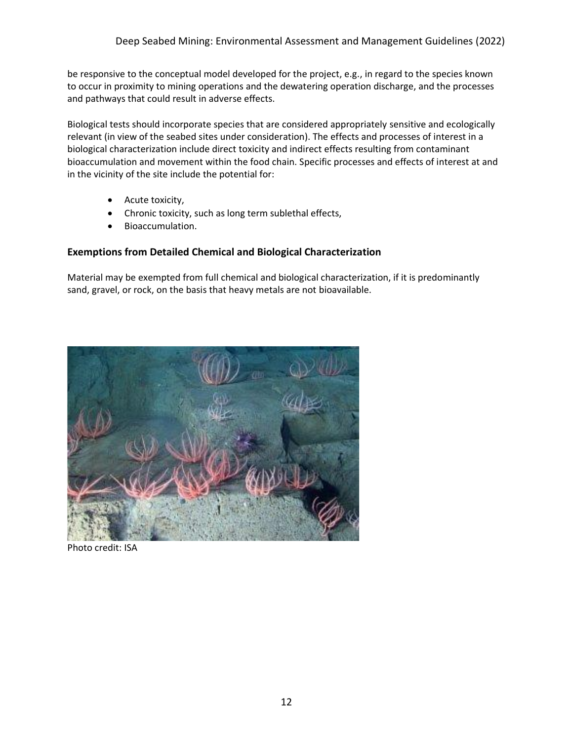be responsive to the conceptual model developed for the project, e.g., in regard to the species known to occur in proximity to mining operations and the dewatering operation discharge, and the processes and pathways that could result in adverse effects.

Biological tests should incorporate species that are considered appropriately sensitive and ecologically relevant (in view of the seabed sites under consideration). The effects and processes of interest in a biological characterization include direct toxicity and indirect effects resulting from contaminant bioaccumulation and movement within the food chain. Specific processes and effects of interest at and in the vicinity of the site include the potential for:

- Acute toxicity,
- Chronic toxicity, such as long term sublethal effects,
- Bioaccumulation.

### **Exemptions from Detailed Chemical and Biological Characterization**

Material may be exempted from full chemical and biological characterization, if it is predominantly sand, gravel, or rock, on the basis that heavy metals are not bioavailable.



Photo credit: ISA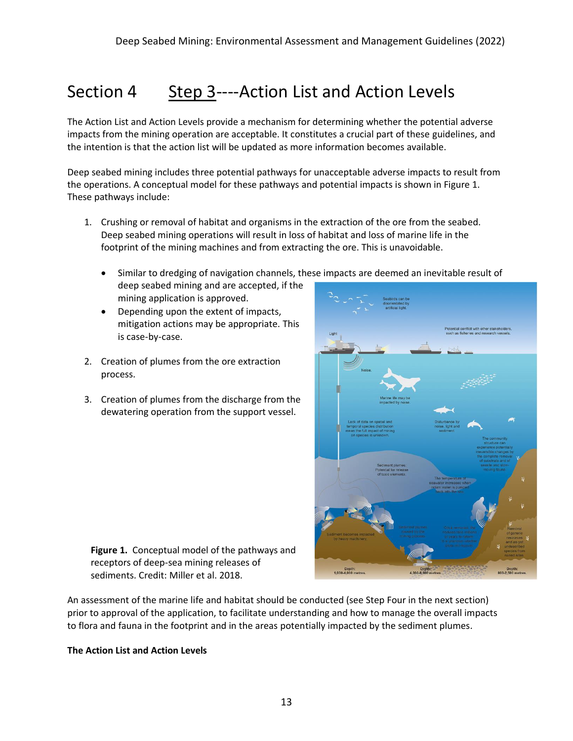### Section 4 Step 3----Action List and Action Levels

The Action List and Action Levels provide a mechanism for determining whether the potential adverse impacts from the mining operation are acceptable. It constitutes a crucial part of these guidelines, and the intention is that the action list will be updated as more information becomes available.

Deep seabed mining includes three potential pathways for unacceptable adverse impacts to result from the operations. A conceptual model for these pathways and potential impacts is shown in Figure 1. These pathways include:

- 1. Crushing or removal of habitat and organisms in the extraction of the ore from the seabed. Deep seabed mining operations will result in loss of habitat and loss of marine life in the footprint of the mining machines and from extracting the ore. This is unavoidable.
	- Similar to dredging of navigation channels, these impacts are deemed an inevitable result of deep seabed mining and are accepted, if the
	- mining application is approved. • Depending upon the extent of impacts,
	- mitigation actions may be appropriate. This is case-by-case.
- 2. Creation of plumes from the ore extraction process.
- 3. Creation of plumes from the discharge from the dewatering operation from the support vessel.



**Figure 1.** Conceptual model of the pathways and receptors of deep-sea mining releases of sediments. Credit: Miller et al. 2018.

An assessment of the marine life and habitat should be conducted (see Step Four in the next section) prior to approval of the application, to facilitate understanding and how to manage the overall impacts to flora and fauna in the footprint and in the areas potentially impacted by the sediment plumes.

#### **The Action List and Action Levels**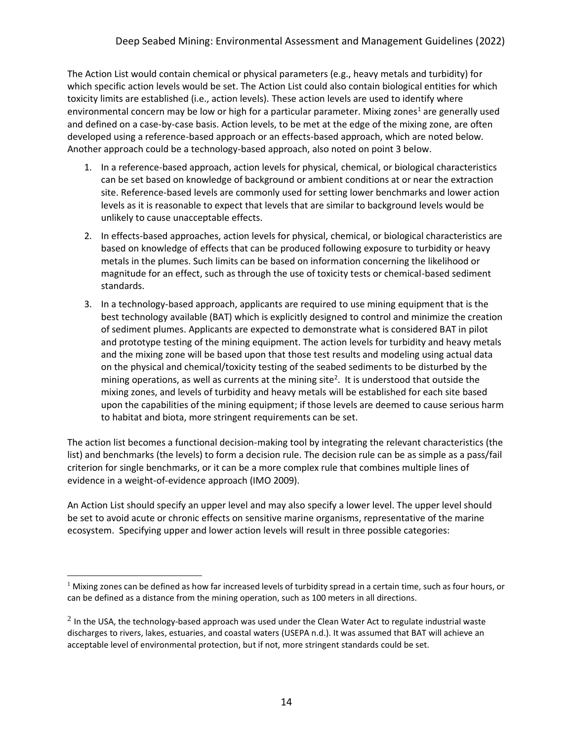The Action List would contain chemical or physical parameters (e.g., heavy metals and turbidity) for which specific action levels would be set. The Action List could also contain biological entities for which toxicity limits are established (i.e., action levels). These action levels are used to identify where environmental concern may be low or high for a particular parameter. Mixing zones<sup>1</sup> are generally used and defined on a case-by-case basis. Action levels, to be met at the edge of the mixing zone, are often developed using a reference-based approach or an effects-based approach, which are noted below. Another approach could be a technology-based approach, also noted on point 3 below.

- 1. In a reference-based approach, action levels for physical, chemical, or biological characteristics can be set based on knowledge of background or ambient conditions at or near the extraction site. Reference-based levels are commonly used for setting lower benchmarks and lower action levels as it is reasonable to expect that levels that are similar to background levels would be unlikely to cause unacceptable effects.
- 2. In effects-based approaches, action levels for physical, chemical, or biological characteristics are based on knowledge of effects that can be produced following exposure to turbidity or heavy metals in the plumes. Such limits can be based on information concerning the likelihood or magnitude for an effect, such as through the use of toxicity tests or chemical-based sediment standards.
- 3. In a technology-based approach, applicants are required to use mining equipment that is the best technology available (BAT) which is explicitly designed to control and minimize the creation of sediment plumes. Applicants are expected to demonstrate what is considered BAT in pilot and prototype testing of the mining equipment. The action levels for turbidity and heavy metals and the mixing zone will be based upon that those test results and modeling using actual data on the physical and chemical/toxicity testing of the seabed sediments to be disturbed by the mining operations, as well as currents at the mining site<sup>2</sup>. It is understood that outside the mixing zones, and levels of turbidity and heavy metals will be established for each site based upon the capabilities of the mining equipment; if those levels are deemed to cause serious harm to habitat and biota, more stringent requirements can be set.

The action list becomes a functional decision-making tool by integrating the relevant characteristics (the list) and benchmarks (the levels) to form a decision rule. The decision rule can be as simple as a pass/fail criterion for single benchmarks, or it can be a more complex rule that combines multiple lines of evidence in a weight-of-evidence approach (IMO 2009).

An Action List should specify an upper level and may also specify a lower level. The upper level should be set to avoid acute or chronic effects on sensitive marine organisms, representative of the marine ecosystem. Specifying upper and lower action levels will result in three possible categories:

 $1$  Mixing zones can be defined as how far increased levels of turbidity spread in a certain time, such as four hours, or can be defined as a distance from the mining operation, such as 100 meters in all directions.

 $^2$  In the USA, the technology-based approach was used under the Clean Water Act to regulate industrial waste discharges to rivers, lakes, estuaries, and coastal waters (USEPA n.d.). It was assumed that BAT will achieve an acceptable level of environmental protection, but if not, more stringent standards could be set.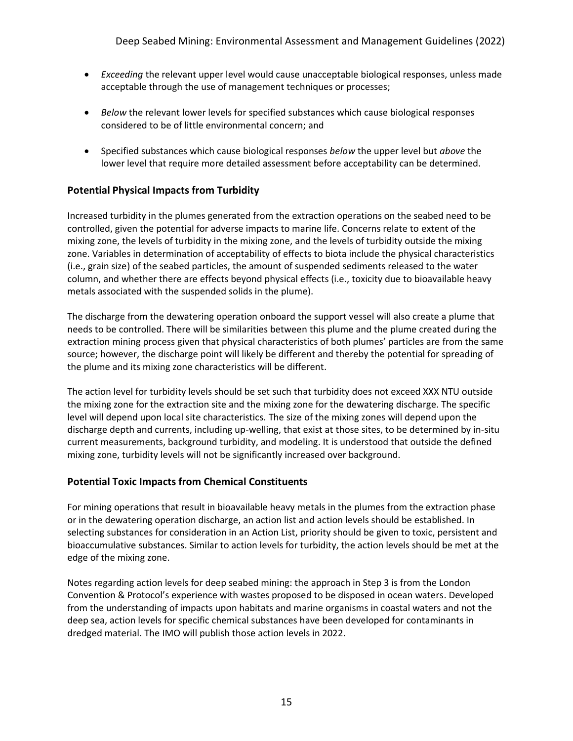- *Exceeding* the relevant upper level would cause unacceptable biological responses, unless made acceptable through the use of management techniques or processes;
- *Below* the relevant lower levels for specified substances which cause biological responses considered to be of little environmental concern; and
- Specified substances which cause biological responses *below* the upper level but *above* the lower level that require more detailed assessment before acceptability can be determined.

### **Potential Physical Impacts from Turbidity**

Increased turbidity in the plumes generated from the extraction operations on the seabed need to be controlled, given the potential for adverse impacts to marine life. Concerns relate to extent of the mixing zone, the levels of turbidity in the mixing zone, and the levels of turbidity outside the mixing zone. Variables in determination of acceptability of effects to biota include the physical characteristics (i.e., grain size) of the seabed particles, the amount of suspended sediments released to the water column, and whether there are effects beyond physical effects (i.e., toxicity due to bioavailable heavy metals associated with the suspended solids in the plume).

The discharge from the dewatering operation onboard the support vessel will also create a plume that needs to be controlled. There will be similarities between this plume and the plume created during the extraction mining process given that physical characteristics of both plumes' particles are from the same source; however, the discharge point will likely be different and thereby the potential for spreading of the plume and its mixing zone characteristics will be different.

The action level for turbidity levels should be set such that turbidity does not exceed XXX NTU outside the mixing zone for the extraction site and the mixing zone for the dewatering discharge. The specific level will depend upon local site characteristics. The size of the mixing zones will depend upon the discharge depth and currents, including up-welling, that exist at those sites, to be determined by in-situ current measurements, background turbidity, and modeling. It is understood that outside the defined mixing zone, turbidity levels will not be significantly increased over background.

#### **Potential Toxic Impacts from Chemical Constituents**

For mining operations that result in bioavailable heavy metals in the plumes from the extraction phase or in the dewatering operation discharge, an action list and action levels should be established. In selecting substances for consideration in an Action List, priority should be given to toxic, persistent and bioaccumulative substances. Similar to action levels for turbidity, the action levels should be met at the edge of the mixing zone.

Notes regarding action levels for deep seabed mining: the approach in Step 3 is from the London Convention & Protocol's experience with wastes proposed to be disposed in ocean waters. Developed from the understanding of impacts upon habitats and marine organisms in coastal waters and not the deep sea, action levels for specific chemical substances have been developed for contaminants in dredged material. The IMO will publish those action levels in 2022.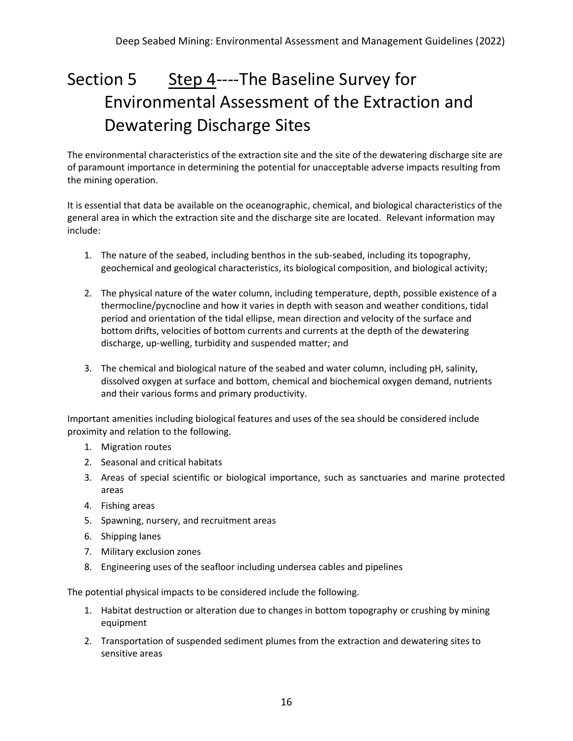# Section 5 Step 4----The Baseline Survey for Environmental Assessment of the Extraction and Dewatering Discharge Sites

The environmental characteristics of the extraction site and the site of the dewatering discharge site are of paramount importance in determining the potential for unacceptable adverse impacts resulting from the mining operation.

It is essential that data be available on the oceanographic, chemical, and biological characteristics of the general area in which the extraction site and the discharge site are located. Relevant information may include:

- 1. The nature of the seabed, including benthos in the sub-seabed, including its topography, geochemical and geological characteristics, its biological composition, and biological activity;
- 2. The physical nature of the water column, including temperature, depth, possible existence of a thermocline/pycnocline and how it varies in depth with season and weather conditions, tidal period and orientation of the tidal ellipse, mean direction and velocity of the surface and bottom drifts, velocities of bottom currents and currents at the depth of the dewatering discharge, up-welling, turbidity and suspended matter; and
- 3. The chemical and biological nature of the seabed and water column, including pH, salinity, dissolved oxygen at surface and bottom, chemical and biochemical oxygen demand, nutrients and their various forms and primary productivity.

Important amenities including biological features and uses of the sea should be considered include proximity and relation to the following.

- 1. Migration routes
- 2. Seasonal and critical habitats
- 3. Areas of special scientific or biological importance, such as sanctuaries and marine protected areas
- 4. Fishing areas
- 5. Spawning, nursery, and recruitment areas
- 6. Shipping lanes
- 7. Military exclusion zones
- 8. Engineering uses of the seafloor including undersea cables and pipelines

The potential physical impacts to be considered include the following.

- 1. Habitat destruction or alteration due to changes in bottom topography or crushing by mining equipment
- 2. Transportation of suspended sediment plumes from the extraction and dewatering sites to sensitive areas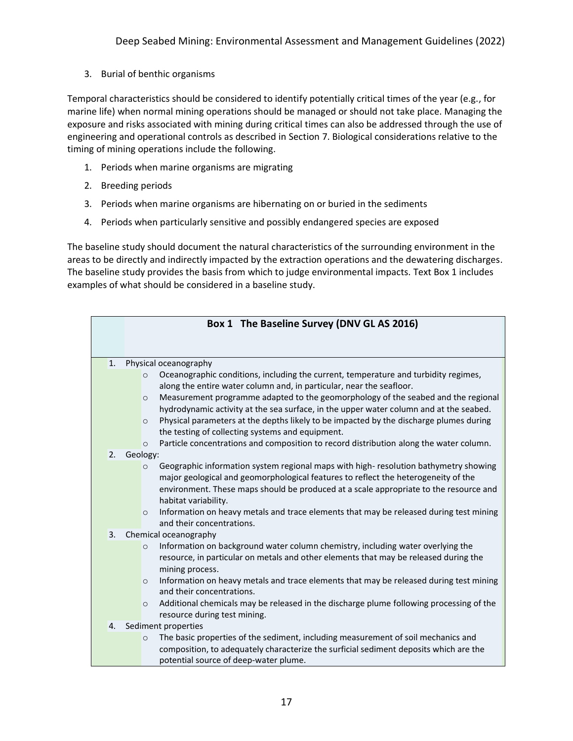3. Burial of benthic organisms

Temporal characteristics should be considered to identify potentially critical times of the year (e.g., for marine life) when normal mining operations should be managed or should not take place. Managing the exposure and risks associated with mining during critical times can also be addressed through the use of engineering and operational controls as described in Section 7. Biological considerations relative to the timing of mining operations include the following.

- 1. Periods when marine organisms are migrating
- 2. Breeding periods
- 3. Periods when marine organisms are hibernating on or buried in the sediments
- 4. Periods when particularly sensitive and possibly endangered species are exposed

The baseline study should document the natural characteristics of the surrounding environment in the areas to be directly and indirectly impacted by the extraction operations and the dewatering discharges. The baseline study provides the basis from which to judge environmental impacts. Text Box 1 includes examples of what should be considered in a baseline study.

|                           |                                | Box 1 The Baseline Survey (DNV GL AS 2016)                                                                                                                                                                                                                                                                                                                                                                                                                                                                        |
|---------------------------|--------------------------------|-------------------------------------------------------------------------------------------------------------------------------------------------------------------------------------------------------------------------------------------------------------------------------------------------------------------------------------------------------------------------------------------------------------------------------------------------------------------------------------------------------------------|
|                           |                                |                                                                                                                                                                                                                                                                                                                                                                                                                                                                                                                   |
| 1.                        | $\circ$<br>$\circ$<br>$\circ$  | Physical oceanography<br>Oceanographic conditions, including the current, temperature and turbidity regimes,<br>along the entire water column and, in particular, near the seafloor.<br>Measurement programme adapted to the geomorphology of the seabed and the regional<br>hydrodynamic activity at the sea surface, in the upper water column and at the seabed.<br>Physical parameters at the depths likely to be impacted by the discharge plumes during<br>the testing of collecting systems and equipment. |
|                           | $\circ$                        | Particle concentrations and composition to record distribution along the water column.                                                                                                                                                                                                                                                                                                                                                                                                                            |
| 2.                        | Geology:<br>$\circ$<br>$\circ$ | Geographic information system regional maps with high-resolution bathymetry showing<br>major geological and geomorphological features to reflect the heterogeneity of the<br>environment. These maps should be produced at a scale appropriate to the resource and<br>habitat variability.<br>Information on heavy metals and trace elements that may be released during test mining<br>and their concentrations.                                                                                                 |
| 3.                        |                                | Chemical oceanography                                                                                                                                                                                                                                                                                                                                                                                                                                                                                             |
|                           | $\circ$<br>$\circ$             | Information on background water column chemistry, including water overlying the<br>resource, in particular on metals and other elements that may be released during the<br>mining process.<br>Information on heavy metals and trace elements that may be released during test mining<br>and their concentrations.                                                                                                                                                                                                 |
|                           | $\circ$                        | Additional chemicals may be released in the discharge plume following processing of the<br>resource during test mining.                                                                                                                                                                                                                                                                                                                                                                                           |
| Sediment properties<br>4. |                                |                                                                                                                                                                                                                                                                                                                                                                                                                                                                                                                   |
|                           | $\circ$                        | The basic properties of the sediment, including measurement of soil mechanics and<br>composition, to adequately characterize the surficial sediment deposits which are the<br>potential source of deep-water plume.                                                                                                                                                                                                                                                                                               |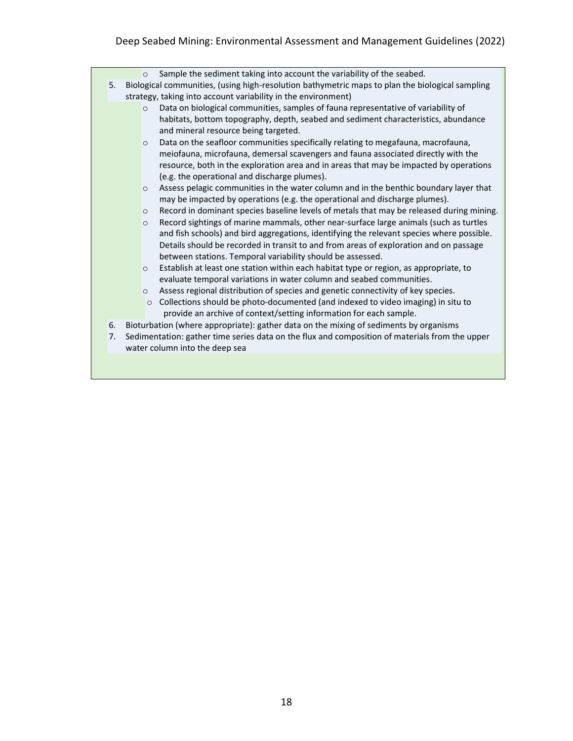### Deep Seabed Mining: Environmental Assessment and Management Guidelines (2022)

|  |    | Sample the sediment taking into account the variability of the seabed.<br>$\circ$                                          |
|--|----|----------------------------------------------------------------------------------------------------------------------------|
|  | 5. | Biological communities, (using high-resolution bathymetric maps to plan the biological sampling                            |
|  |    | strategy, taking into account variability in the environment)                                                              |
|  |    | Data on biological communities, samples of fauna representative of variability of<br>$\circ$                               |
|  |    | habitats, bottom topography, depth, seabed and sediment characteristics, abundance<br>and mineral resource being targeted. |
|  |    | Data on the seafloor communities specifically relating to megafauna, macrofauna,<br>$\circ$                                |
|  |    | meiofauna, microfauna, demersal scavengers and fauna associated directly with the                                          |
|  |    | resource, both in the exploration area and in areas that may be impacted by operations                                     |
|  |    | (e.g. the operational and discharge plumes).                                                                               |
|  |    | Assess pelagic communities in the water column and in the benthic boundary layer that<br>$\circ$                           |
|  |    | may be impacted by operations (e.g. the operational and discharge plumes).                                                 |
|  |    | Record in dominant species baseline levels of metals that may be released during mining.<br>$\circ$                        |
|  |    | Record sightings of marine mammals, other near-surface large animals (such as turtles<br>$\circ$                           |
|  |    | and fish schools) and bird aggregations, identifying the relevant species where possible.                                  |
|  |    | Details should be recorded in transit to and from areas of exploration and on passage                                      |
|  |    | between stations. Temporal variability should be assessed.                                                                 |
|  |    | Establish at least one station within each habitat type or region, as appropriate, to<br>$\circ$                           |
|  |    | evaluate temporal variations in water column and seabed communities.                                                       |
|  |    | Assess regional distribution of species and genetic connectivity of key species.<br>$\circ$                                |
|  |    | Collections should be photo-documented (and indexed to video imaging) in situ to<br>$\circ$                                |
|  |    | provide an archive of context/setting information for each sample.                                                         |
|  | 6. | Bioturbation (where appropriate): gather data on the mixing of sediments by organisms                                      |
|  |    |                                                                                                                            |
|  | 7. | Sedimentation: gather time series data on the flux and composition of materials from the upper                             |
|  |    | water column into the deep sea                                                                                             |
|  |    |                                                                                                                            |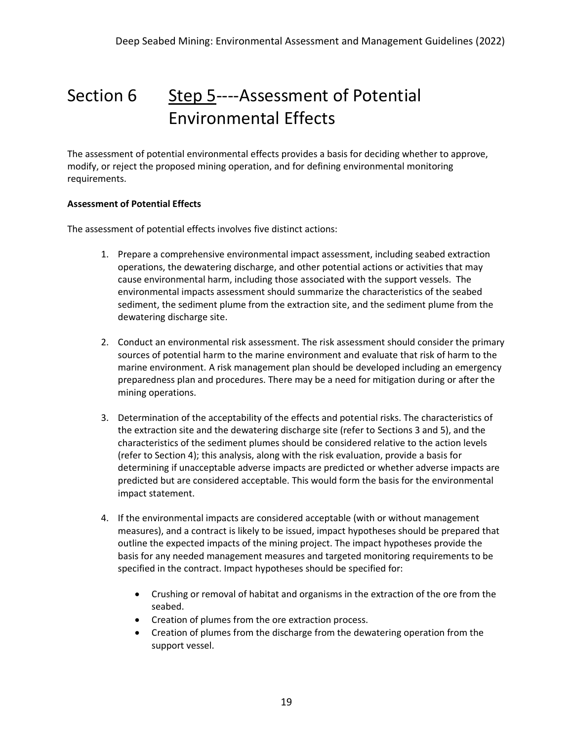## Section 6 Step 5----Assessment of Potential Environmental Effects

The assessment of potential environmental effects provides a basis for deciding whether to approve, modify, or reject the proposed mining operation, and for defining environmental monitoring requirements.

#### **Assessment of Potential Effects**

The assessment of potential effects involves five distinct actions:

- 1. Prepare a comprehensive environmental impact assessment, including seabed extraction operations, the dewatering discharge, and other potential actions or activities that may cause environmental harm, including those associated with the support vessels. The environmental impacts assessment should summarize the characteristics of the seabed sediment, the sediment plume from the extraction site, and the sediment plume from the dewatering discharge site.
- 2. Conduct an environmental risk assessment. The risk assessment should consider the primary sources of potential harm to the marine environment and evaluate that risk of harm to the marine environment. A risk management plan should be developed including an emergency preparedness plan and procedures. There may be a need for mitigation during or after the mining operations.
- 3. Determination of the acceptability of the effects and potential risks. The characteristics of the extraction site and the dewatering discharge site (refer to Sections 3 and 5), and the characteristics of the sediment plumes should be considered relative to the action levels (refer to Section 4); this analysis, along with the risk evaluation, provide a basis for determining if unacceptable adverse impacts are predicted or whether adverse impacts are predicted but are considered acceptable. This would form the basis for the environmental impact statement.
- 4. If the environmental impacts are considered acceptable (with or without management measures), and a contract is likely to be issued, impact hypotheses should be prepared that outline the expected impacts of the mining project. The impact hypotheses provide the basis for any needed management measures and targeted monitoring requirements to be specified in the contract. Impact hypotheses should be specified for:
	- Crushing or removal of habitat and organisms in the extraction of the ore from the seabed.
	- Creation of plumes from the ore extraction process.
	- Creation of plumes from the discharge from the dewatering operation from the support vessel.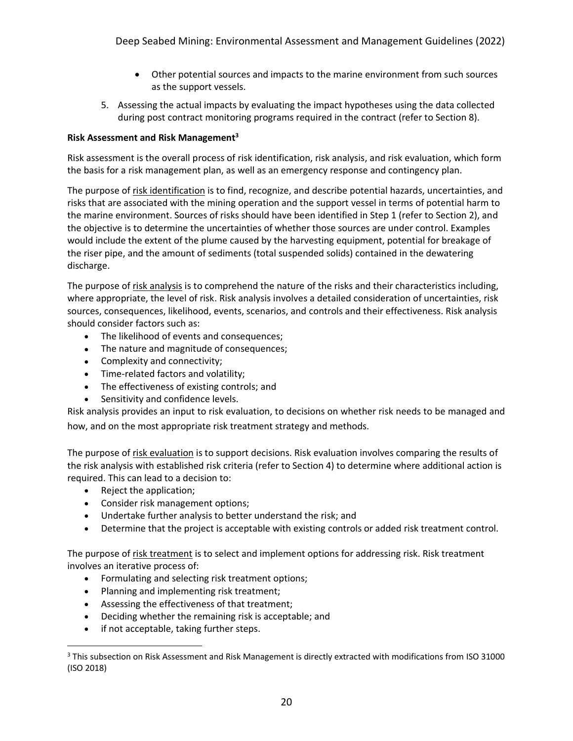- Other potential sources and impacts to the marine environment from such sources as the support vessels.
- 5. Assessing the actual impacts by evaluating the impact hypotheses using the data collected during post contract monitoring programs required in the contract (refer to Section 8).

### **Risk Assessment and Risk Management<sup>3</sup>**

Risk assessment is the overall process of risk identification, risk analysis, and risk evaluation, which form the basis for a risk management plan, as well as an emergency response and contingency plan.

The purpose of risk identification is to find, recognize, and describe potential hazards, uncertainties, and risks that are associated with the mining operation and the support vessel in terms of potential harm to the marine environment. Sources of risks should have been identified in Step 1 (refer to Section 2), and the objective is to determine the uncertainties of whether those sources are under control. Examples would include the extent of the plume caused by the harvesting equipment, potential for breakage of the riser pipe, and the amount of sediments (total suspended solids) contained in the dewatering discharge.

The purpose of risk analysis is to comprehend the nature of the risks and their characteristics including, where appropriate, the level of risk. Risk analysis involves a detailed consideration of uncertainties, risk sources, consequences, likelihood, events, scenarios, and controls and their effectiveness. Risk analysis should consider factors such as:

- The likelihood of events and consequences;
- The nature and magnitude of consequences;
- Complexity and connectivity;
- Time-related factors and volatility;
- The effectiveness of existing controls; and
- Sensitivity and confidence levels.

Risk analysis provides an input to risk evaluation, to decisions on whether risk needs to be managed and how, and on the most appropriate risk treatment strategy and methods.

The purpose of risk evaluation is to support decisions. Risk evaluation involves comparing the results of the risk analysis with established risk criteria (refer to Section 4) to determine where additional action is required. This can lead to a decision to:

- Reject the application;
- Consider risk management options;
- Undertake further analysis to better understand the risk; and
- Determine that the project is acceptable with existing controls or added risk treatment control.

The purpose of risk treatment is to select and implement options for addressing risk. Risk treatment involves an iterative process of:

- Formulating and selecting risk treatment options;
- Planning and implementing risk treatment;
- Assessing the effectiveness of that treatment;
- Deciding whether the remaining risk is acceptable; and
- if not acceptable, taking further steps.

<sup>3</sup> This subsection on Risk Assessment and Risk Management is directly extracted with modifications from ISO 31000 (ISO 2018)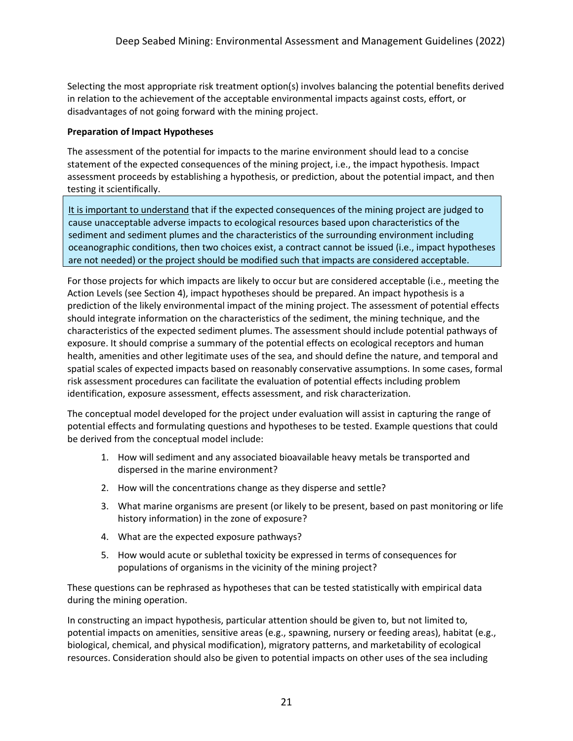Selecting the most appropriate risk treatment option(s) involves balancing the potential benefits derived in relation to the achievement of the acceptable environmental impacts against costs, effort, or disadvantages of not going forward with the mining project.

#### **Preparation of Impact Hypotheses**

The assessment of the potential for impacts to the marine environment should lead to a concise statement of the expected consequences of the mining project, i.e., the impact hypothesis. Impact assessment proceeds by establishing a hypothesis, or prediction, about the potential impact, and then testing it scientifically.

It is important to understand that if the expected consequences of the mining project are judged to cause unacceptable adverse impacts to ecological resources based upon characteristics of the sediment and sediment plumes and the characteristics of the surrounding environment including oceanographic conditions, then two choices exist, a contract cannot be issued (i.e., impact hypotheses are not needed) or the project should be modified such that impacts are considered acceptable.

For those projects for which impacts are likely to occur but are considered acceptable (i.e., meeting the Action Levels (see Section 4), impact hypotheses should be prepared. An impact hypothesis is a prediction of the likely environmental impact of the mining project. The assessment of potential effects should integrate information on the characteristics of the sediment, the mining technique, and the characteristics of the expected sediment plumes. The assessment should include potential pathways of exposure. It should comprise a summary of the potential effects on ecological receptors and human health, amenities and other legitimate uses of the sea, and should define the nature, and temporal and spatial scales of expected impacts based on reasonably conservative assumptions. In some cases, formal risk assessment procedures can facilitate the evaluation of potential effects including problem identification, exposure assessment, effects assessment, and risk characterization.

The conceptual model developed for the project under evaluation will assist in capturing the range of potential effects and formulating questions and hypotheses to be tested. Example questions that could be derived from the conceptual model include:

- 1. How will sediment and any associated bioavailable heavy metals be transported and dispersed in the marine environment?
- 2. How will the concentrations change as they disperse and settle?
- 3. What marine organisms are present (or likely to be present, based on past monitoring or life history information) in the zone of exposure?
- 4. What are the expected exposure pathways?
- 5. How would acute or sublethal toxicity be expressed in terms of consequences for populations of organisms in the vicinity of the mining project?

These questions can be rephrased as hypotheses that can be tested statistically with empirical data during the mining operation.

In constructing an impact hypothesis, particular attention should be given to, but not limited to, potential impacts on amenities, sensitive areas (e.g., spawning, nursery or feeding areas), habitat (e.g., biological, chemical, and physical modification), migratory patterns, and marketability of ecological resources. Consideration should also be given to potential impacts on other uses of the sea including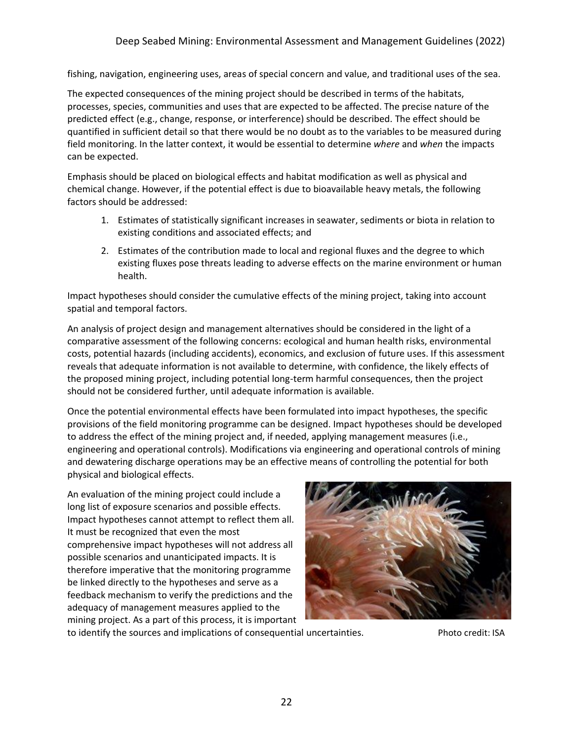fishing, navigation, engineering uses, areas of special concern and value, and traditional uses of the sea.

The expected consequences of the mining project should be described in terms of the habitats, processes, species, communities and uses that are expected to be affected. The precise nature of the predicted effect (e.g., change, response, or interference) should be described. The effect should be quantified in sufficient detail so that there would be no doubt as to the variables to be measured during field monitoring. In the latter context, it would be essential to determine *where* and *when* the impacts can be expected.

Emphasis should be placed on biological effects and habitat modification as well as physical and chemical change. However, if the potential effect is due to bioavailable heavy metals, the following factors should be addressed:

- 1. Estimates of statistically significant increases in seawater, sediments or biota in relation to existing conditions and associated effects; and
- 2. Estimates of the contribution made to local and regional fluxes and the degree to which existing fluxes pose threats leading to adverse effects on the marine environment or human health.

Impact hypotheses should consider the cumulative effects of the mining project, taking into account spatial and temporal factors.

An analysis of project design and management alternatives should be considered in the light of a comparative assessment of the following concerns: ecological and human health risks, environmental costs, potential hazards (including accidents), economics, and exclusion of future uses. If this assessment reveals that adequate information is not available to determine, with confidence, the likely effects of the proposed mining project, including potential long-term harmful consequences, then the project should not be considered further, until adequate information is available.

Once the potential environmental effects have been formulated into impact hypotheses, the specific provisions of the field monitoring programme can be designed. Impact hypotheses should be developed to address the effect of the mining project and, if needed, applying management measures (i.e., engineering and operational controls). Modifications via engineering and operational controls of mining and dewatering discharge operations may be an effective means of controlling the potential for both physical and biological effects.

An evaluation of the mining project could include a long list of exposure scenarios and possible effects. Impact hypotheses cannot attempt to reflect them all. It must be recognized that even the most comprehensive impact hypotheses will not address all possible scenarios and unanticipated impacts. It is therefore imperative that the monitoring programme be linked directly to the hypotheses and serve as a feedback mechanism to verify the predictions and the adequacy of management measures applied to the mining project. As a part of this process, it is important



to identify the sources and implications of consequential uncertainties. Photo credit: ISA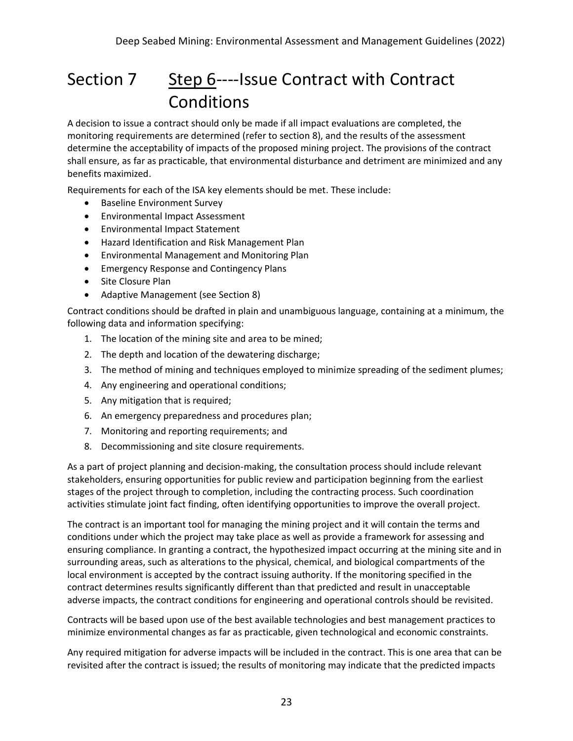### Section 7 Step 6----Issue Contract with Contract Conditions

A decision to issue a contract should only be made if all impact evaluations are completed, the monitoring requirements are determined (refer to section 8), and the results of the assessment determine the acceptability of impacts of the proposed mining project. The provisions of the contract shall ensure, as far as practicable, that environmental disturbance and detriment are minimized and any benefits maximized.

Requirements for each of the ISA key elements should be met. These include:

- Baseline Environment Survey
- Environmental Impact Assessment
- Environmental Impact Statement
- Hazard Identification and Risk Management Plan
- Environmental Management and Monitoring Plan
- Emergency Response and Contingency Plans
- Site Closure Plan
- Adaptive Management (see Section 8)

Contract conditions should be drafted in plain and unambiguous language, containing at a minimum, the following data and information specifying:

- 1. The location of the mining site and area to be mined;
- 2. The depth and location of the dewatering discharge;
- 3. The method of mining and techniques employed to minimize spreading of the sediment plumes;
- 4. Any engineering and operational conditions;
- 5. Any mitigation that is required;
- 6. An emergency preparedness and procedures plan;
- 7. Monitoring and reporting requirements; and
- 8. Decommissioning and site closure requirements.

As a part of project planning and decision-making, the consultation process should include relevant stakeholders, ensuring opportunities for public review and participation beginning from the earliest stages of the project through to completion, including the contracting process. Such coordination activities stimulate joint fact finding, often identifying opportunities to improve the overall project.

The contract is an important tool for managing the mining project and it will contain the terms and conditions under which the project may take place as well as provide a framework for assessing and ensuring compliance. In granting a contract, the hypothesized impact occurring at the mining site and in surrounding areas, such as alterations to the physical, chemical, and biological compartments of the local environment is accepted by the contract issuing authority. If the monitoring specified in the contract determines results significantly different than that predicted and result in unacceptable adverse impacts, the contract conditions for engineering and operational controls should be revisited.

Contracts will be based upon use of the best available technologies and best management practices to minimize environmental changes as far as practicable, given technological and economic constraints.

Any required mitigation for adverse impacts will be included in the contract. This is one area that can be revisited after the contract is issued; the results of monitoring may indicate that the predicted impacts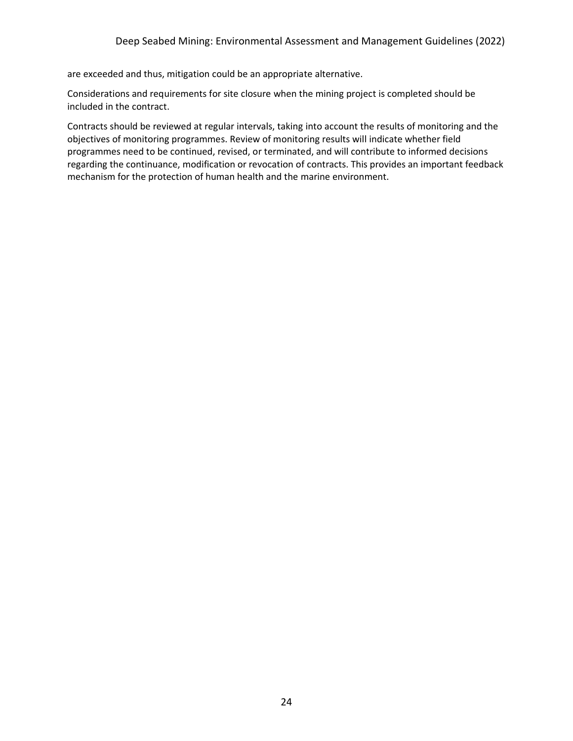are exceeded and thus, mitigation could be an appropriate alternative.

Considerations and requirements for site closure when the mining project is completed should be included in the contract.

Contracts should be reviewed at regular intervals, taking into account the results of monitoring and the objectives of monitoring programmes. Review of monitoring results will indicate whether field programmes need to be continued, revised, or terminated, and will contribute to informed decisions regarding the continuance, modification or revocation of contracts. This provides an important feedback mechanism for the protection of human health and the marine environment.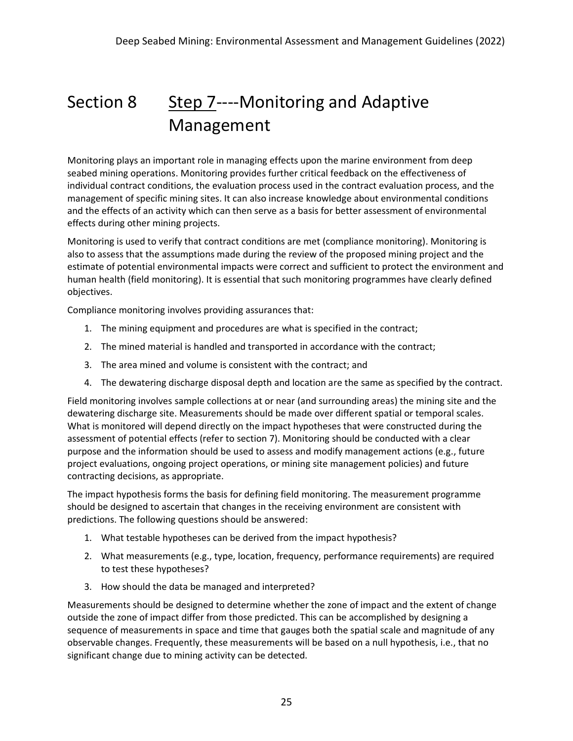# Section 8 Step 7----Monitoring and Adaptive Management

Monitoring plays an important role in managing effects upon the marine environment from deep seabed mining operations. Monitoring provides further critical feedback on the effectiveness of individual contract conditions, the evaluation process used in the contract evaluation process, and the management of specific mining sites. It can also increase knowledge about environmental conditions and the effects of an activity which can then serve as a basis for better assessment of environmental effects during other mining projects.

Monitoring is used to verify that contract conditions are met (compliance monitoring). Monitoring is also to assess that the assumptions made during the review of the proposed mining project and the estimate of potential environmental impacts were correct and sufficient to protect the environment and human health (field monitoring). It is essential that such monitoring programmes have clearly defined objectives.

Compliance monitoring involves providing assurances that:

- 1. The mining equipment and procedures are what is specified in the contract;
- 2. The mined material is handled and transported in accordance with the contract;
- 3. The area mined and volume is consistent with the contract; and
- 4. The dewatering discharge disposal depth and location are the same as specified by the contract.

Field monitoring involves sample collections at or near (and surrounding areas) the mining site and the dewatering discharge site. Measurements should be made over different spatial or temporal scales. What is monitored will depend directly on the impact hypotheses that were constructed during the assessment of potential effects (refer to section 7). Monitoring should be conducted with a clear purpose and the information should be used to assess and modify management actions (e.g., future project evaluations, ongoing project operations, or mining site management policies) and future contracting decisions, as appropriate.

The impact hypothesis forms the basis for defining field monitoring. The measurement programme should be designed to ascertain that changes in the receiving environment are consistent with predictions. The following questions should be answered:

- 1. What testable hypotheses can be derived from the impact hypothesis?
- 2. What measurements (e.g., type, location, frequency, performance requirements) are required to test these hypotheses?
- 3. How should the data be managed and interpreted?

Measurements should be designed to determine whether the zone of impact and the extent of change outside the zone of impact differ from those predicted. This can be accomplished by designing a sequence of measurements in space and time that gauges both the spatial scale and magnitude of any observable changes. Frequently, these measurements will be based on a null hypothesis, i.e., that no significant change due to mining activity can be detected.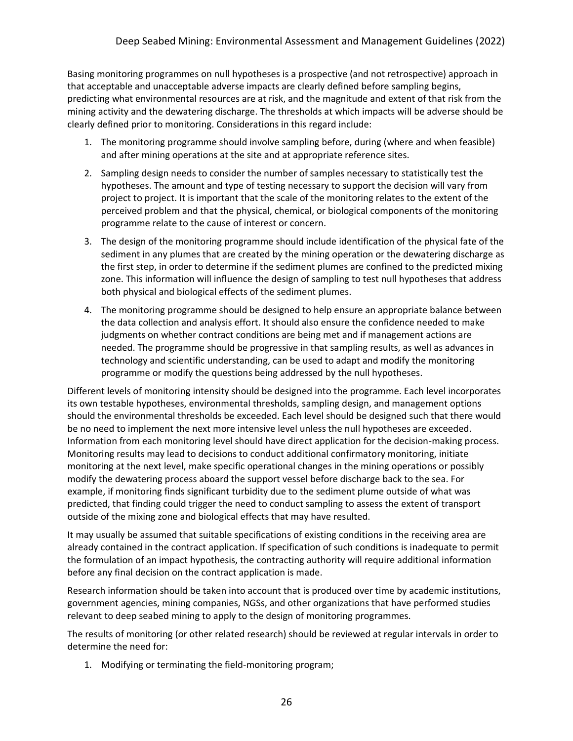Basing monitoring programmes on null hypotheses is a prospective (and not retrospective) approach in that acceptable and unacceptable adverse impacts are clearly defined before sampling begins, predicting what environmental resources are at risk, and the magnitude and extent of that risk from the mining activity and the dewatering discharge. The thresholds at which impacts will be adverse should be clearly defined prior to monitoring. Considerations in this regard include:

- 1. The monitoring programme should involve sampling before, during (where and when feasible) and after mining operations at the site and at appropriate reference sites.
- 2. Sampling design needs to consider the number of samples necessary to statistically test the hypotheses. The amount and type of testing necessary to support the decision will vary from project to project. It is important that the scale of the monitoring relates to the extent of the perceived problem and that the physical, chemical, or biological components of the monitoring programme relate to the cause of interest or concern.
- 3. The design of the monitoring programme should include identification of the physical fate of the sediment in any plumes that are created by the mining operation or the dewatering discharge as the first step, in order to determine if the sediment plumes are confined to the predicted mixing zone. This information will influence the design of sampling to test null hypotheses that address both physical and biological effects of the sediment plumes.
- 4. The monitoring programme should be designed to help ensure an appropriate balance between the data collection and analysis effort. It should also ensure the confidence needed to make judgments on whether contract conditions are being met and if management actions are needed. The programme should be progressive in that sampling results, as well as advances in technology and scientific understanding, can be used to adapt and modify the monitoring programme or modify the questions being addressed by the null hypotheses.

Different levels of monitoring intensity should be designed into the programme. Each level incorporates its own testable hypotheses, environmental thresholds, sampling design, and management options should the environmental thresholds be exceeded. Each level should be designed such that there would be no need to implement the next more intensive level unless the null hypotheses are exceeded. Information from each monitoring level should have direct application for the decision-making process. Monitoring results may lead to decisions to conduct additional confirmatory monitoring, initiate monitoring at the next level, make specific operational changes in the mining operations or possibly modify the dewatering process aboard the support vessel before discharge back to the sea. For example, if monitoring finds significant turbidity due to the sediment plume outside of what was predicted, that finding could trigger the need to conduct sampling to assess the extent of transport outside of the mixing zone and biological effects that may have resulted.

It may usually be assumed that suitable specifications of existing conditions in the receiving area are already contained in the contract application. If specification of such conditions is inadequate to permit the formulation of an impact hypothesis, the contracting authority will require additional information before any final decision on the contract application is made.

Research information should be taken into account that is produced over time by academic institutions, government agencies, mining companies, NGSs, and other organizations that have performed studies relevant to deep seabed mining to apply to the design of monitoring programmes.

The results of monitoring (or other related research) should be reviewed at regular intervals in order to determine the need for:

1. Modifying or terminating the field-monitoring program;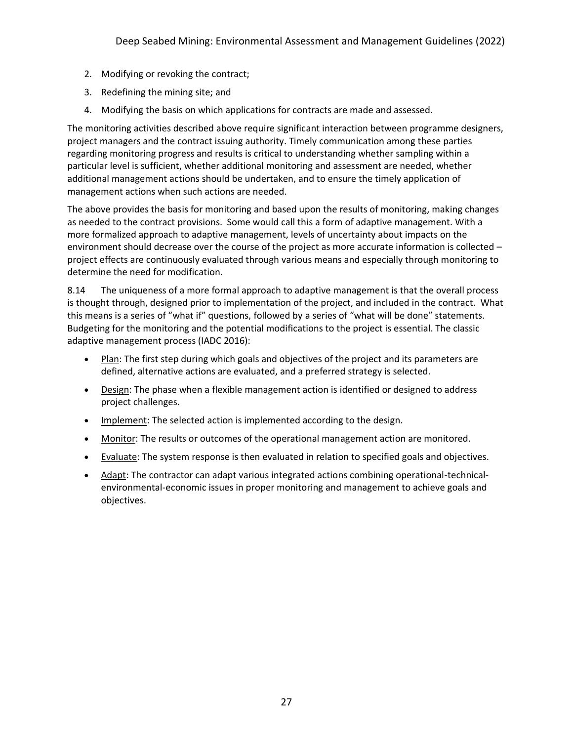- 2. Modifying or revoking the contract;
- 3. Redefining the mining site; and
- 4. Modifying the basis on which applications for contracts are made and assessed.

The monitoring activities described above require significant interaction between programme designers, project managers and the contract issuing authority. Timely communication among these parties regarding monitoring progress and results is critical to understanding whether sampling within a particular level is sufficient, whether additional monitoring and assessment are needed, whether additional management actions should be undertaken, and to ensure the timely application of management actions when such actions are needed.

The above provides the basis for monitoring and based upon the results of monitoring, making changes as needed to the contract provisions. Some would call this a form of adaptive management. With a more formalized approach to adaptive management, levels of uncertainty about impacts on the environment should decrease over the course of the project as more accurate information is collected – project effects are continuously evaluated through various means and especially through monitoring to determine the need for modification.

8.14 The uniqueness of a more formal approach to adaptive management is that the overall process is thought through, designed prior to implementation of the project, and included in the contract. What this means is a series of "what if" questions, followed by a series of "what will be done" statements. Budgeting for the monitoring and the potential modifications to the project is essential. The classic adaptive management process (IADC 2016):

- Plan: The first step during which goals and objectives of the project and its parameters are defined, alternative actions are evaluated, and a preferred strategy is selected.
- Design: The phase when a flexible management action is identified or designed to address project challenges.
- Implement: The selected action is implemented according to the design.
- Monitor: The results or outcomes of the operational management action are monitored.
- Evaluate: The system response is then evaluated in relation to specified goals and objectives.
- Adapt: The contractor can adapt various integrated actions combining operational-technicalenvironmental-economic issues in proper monitoring and management to achieve goals and objectives.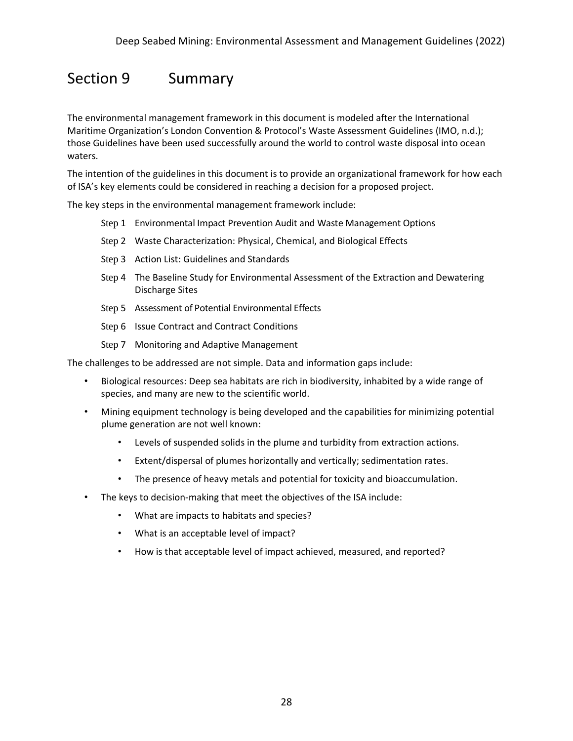### Section 9 Summary

The environmental management framework in this document is modeled after the International Maritime Organization's London Convention & Protocol's Waste Assessment Guidelines (IMO, n.d.); those Guidelines have been used successfully around the world to control waste disposal into ocean waters.

The intention of the guidelines in this document is to provide an organizational framework for how each of ISA's key elements could be considered in reaching a decision for a proposed project.

The key steps in the environmental management framework include:

- Step 1 Environmental Impact Prevention Audit and Waste Management Options
- Step 2 Waste Characterization: Physical, Chemical, and Biological Effects
- Step 3 Action List: Guidelines and Standards
- Step 4 The Baseline Study for Environmental Assessment of the Extraction and Dewatering Discharge Sites
- Step 5 Assessment of Potential Environmental Effects
- Step 6 Issue Contract and Contract Conditions
- Step 7 Monitoring and Adaptive Management

The challenges to be addressed are not simple. Data and information gaps include:

- Biological resources: Deep sea habitats are rich in biodiversity, inhabited by a wide range of species, and many are new to the scientific world.
- Mining equipment technology is being developed and the capabilities for minimizing potential plume generation are not well known:
	- Levels of suspended solids in the plume and turbidity from extraction actions.
	- Extent/dispersal of plumes horizontally and vertically; sedimentation rates.
	- The presence of heavy metals and potential for toxicity and bioaccumulation.
- The keys to decision-making that meet the objectives of the ISA include:
	- What are impacts to habitats and species?
	- What is an acceptable level of impact?
	- How is that acceptable level of impact achieved, measured, and reported?